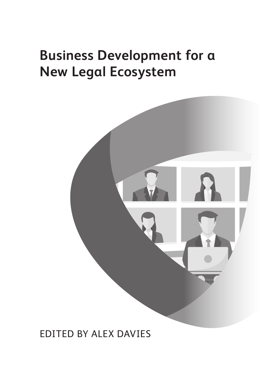# **Business Development for a New Legal Ecosystem**



EDITED BY ALEX DAVIES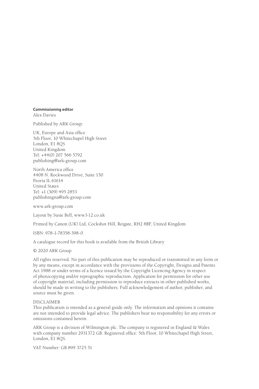#### **Commissioning editor**

Alex Davies

Published by ARK Group:

UK, Europe and Asia office 5th Floor, 10 Whitechapel High Street London, E1 8OS United Kingdom Tel: +44(0) 207 566 5792 publishing@ark-group.com

North America office 4408 N. Rockwood Drive, Suite 150 Peoria IL 61614 United States Tel: +1 (309) 495 2853 publishingna@ark-group.com

www.ark-group.com

Layout by Susie Bell, www.f-12.co.uk

Printed by Canon (UK) Ltd, Cockshot Hill, Reigate, RH2 8BF, United Kingdom

ISBN: 978-1-78358-398-0

A catalogue record for this book is available from the British Library

© 2020 ARK Group

All rights reserved. No part of this publication may be reproduced or transmitted in any form or by any means, except in accordance with the provisions of the Copyright, Designs and Patents Act 1988 or under terms of a licence issued by the Copyright Licencing Agency in respect of photocopying and/or reprographic reproduction. Application for permission for other use of copyright material, including permission to reproduce extracts in other published works, should be made in writing to the publishers. Full acknowledgement of author, publisher, and source must be given.

#### DISCLAIMER

This publication is intended as a general guide only. The information and opinions it contains are not intended to provide legal advice. The publishers bear no responsibility for any errors or omissions contained herein.

ARK Group is a division of Wilmington plc. The company is registered in England & Wales with company number 2931372 GB. Registered office: 5th Floor, 10 Whitechapel High Street, London, E1 8QS.

VAT Number: GB 899 3725 51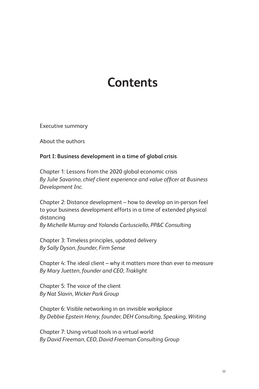# **Contents**

Executive summary

About the authors

### **Part I: Business development in a time of global crisis**

Chapter 1: Lessons from the 2020 global economic crisis By Julie Savarino, chief client experience and value officer at Business *Development Inc.*

Chapter 2: Distance development – how to develop an in-person feel to your business development efforts in a time of extended physical distancing

*By Michelle Murray and Yolanda Cartusciello, PP&C Consulting*

Chapter 3: Timeless principles, updated delivery *By Sally Dyson, founder, Firm Sense*

Chapter 4: The ideal client – why it matters more than ever to measure *By Mary Juetten, founder and CEO, Traklight*

Chapter 5: The voice of the client *By Nat Slavin, Wicker Park Group*

Chapter 6: Visible networking in an invisible workplace *By Debbie Epstein Henry, founder, DEH Consulting, Speaking, Writing*

Chapter 7: Using virtual tools in a virtual world *By David Freeman, CEO, David Freeman Consulting Group*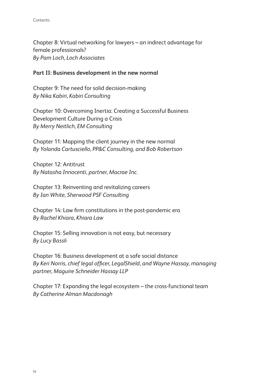Chapter 8: Virtual networking for lawyers – an indirect advantage for female professionals? *By Pam Loch, Loch Associates*

### **Part II: Business development in the new normal**

Chapter 9: The need for solid decision-making *By Nika Kabiri, Kabiri Consulting*

Chapter 10: Overcoming Inertia: Creating a Successful Business Development Culture During a Crisis *By Merry Neitlich, EM Consulting*

Chapter 11: Mapping the client journey in the new normal *By Yolanda Cartusciello, PP&C Consulting, and Bob Robertson*

Chapter 12: Antitrust *By Natasha Innocenti, partner, Macrae Inc.*

Chapter 13: Reinventing and revitalizing careers *By Ian White, Sherwood PSF Consulting*

Chapter 14: Law firm constitutions in the post-pandemic era *By Rachel Khiara, Khiara Law*

Chapter 15: Selling innovation is not easy, but necessary *By Lucy Bassli*

Chapter 16: Business development at a safe social distance By Keri Norris, chief legal officer, LegalShield, and Wayne Hassay, managing *partner, Maguire Schneider Hassay LLP*

Chapter 17: Expanding the legal ecosystem – the cross-functional team *By Catherine Alman Macdonagh*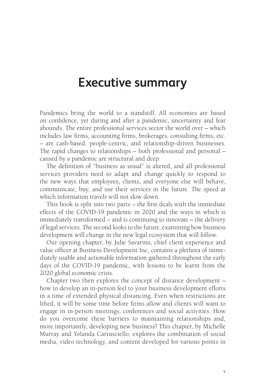### **Executive summary**

Pandemics bring the world to a standstill. All economies are based on confidence, yet during and after a pandemic, uncertainty and fear abounds. The entire professional services sector the world over – which includes law firms, accounting firms, brokerages, consulting firms, etc. – are cash-based, people-centric, and relationship-driven businesses. The rapid changes to relationships – both professional and personal – caused by a pandemic are structural and deep.

The definition of "business as usual" is altered, and all professional services providers need to adapt and change quickly to respond to the new ways that employees, clients, and everyone else will behave, communicate, buy, and use their services in the future. The speed at which information travels will not slow down.

This book is split into two parts  $-$  the first deals with the immediate effects of the COVID-19 pandemic in 2020 and the ways in which is immediately transformed – and is continuing to innovate – the delivery of legal services. The second looks to the future, examining how business development will change in the new legal ecosystem that will follow.

Our opening chapter, by Julie Savarino, chief client experience and value officer at Business Development Inc, contains a plethora of immediately usable and actionable information gathered throughout the early days of the COVID-19 pandemic, with lessons to be learnt from the 2020 global economic crisis.

Chapter two then explores the concept of distance development – how to develop an in-person feel to your business development efforts in a time of extended physical distancing. Even when restrictions are lifted, it will be some time before firms allow and clients will want to engage in in-person meetings, conferences and social activities. How do you overcome these barriers to maintaining relationships and, more importantly, developing new business? This chapter, by Michelle Murray and Yolanda Cartusciello, explores the combination of social media, video technology, and content developed for various points in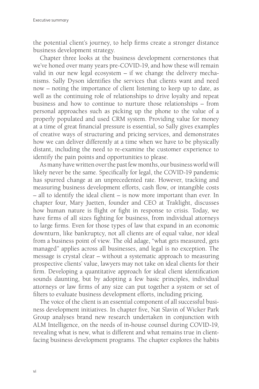the potential client's journey, to help firms create a stronger distance business development strategy.

Chapter three looks at the business development cornerstones that we've honed over many years pre-COVID-19, and how these will remain valid in our new legal ecosystem – if we change the delivery mechanisms. Sally Dyson identifies the services that clients want and need now – noting the importance of client listening to keep up to date, as well as the continuing role of relationships to drive loyalty and repeat business and how to continue to nurture those relationships – from personal approaches such as picking up the phone to the value of a properly populated and used CRM system. Providing value for money at a time of great financial pressure is essential, so Sally gives examples of creative ways of structuring and pricing services, and demonstrates how we can deliver differently at a time when we have to be physically distant, including the need to re-examine the customer experience to identify the pain points and opportunities to please.

As many have written over the past few months, our business world will likely never be the same. Specifically for legal, the COVID-19 pandemic has spurred change at an unprecedented rate. However, tracking and measuring business development efforts, cash flow, or intangible costs – all to identify the ideal client – is now more important than ever. In chapter four, Mary Juetten, founder and CEO at Traklight, discusses how human nature is flight or fight in response to crisis. Today, we have firms of all sizes fighting for business, from individual attorneys to large firms. Even for those types of law that expand in an economic downturn, like bankruptcy, not all clients are of equal value, nor ideal from a business point of view. The old adage, "what gets measured, gets managed" applies across all businesses, and legal is no exception. The message is crystal clear – without a systematic approach to measuring prospective clients' value, lawyers may not take on ideal clients for their firm. Developing a quantitative approach for ideal client identification sounds daunting, but by adopting a few basic principles, individual attorneys or law firms of any size can put together a system or set of filters to evaluate business development efforts, including pricing.

The voice of the client is an essential component of all successful business development initiatives. In chapter five, Nat Slavin of Wicker Park Group analyses brand new research undertaken in conjunction with ALM Intelligence, on the needs of in-house counsel during COVID-19, revealing what is new, what is different and what remains true in clientfacing business development programs. The chapter explores the habits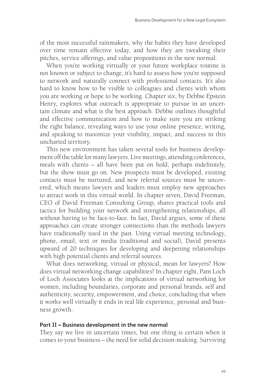of the most successful rainmakers, why the habits they have developed over time remain effective today, and how they are tweaking their pitches, service offerings, and value propositions in the new normal.

When you're working virtually or your future workplace routine is not known or subject to change, it's hard to assess how you're supposed to network and naturally connect with professional contacts. It's also hard to know how to be visible to colleagues and clients with whom you are working or hope to be working. Chapter six, by Debbie Epstein Henry, explores what outreach is appropriate to pursue in an uncertain climate and what is the best approach. Debbie outlines thoughtful and effective communication and how to make sure you are striking the right balance, revealing ways to use your online presence, writing, and speaking to maximize your visibility, impact, and success in this uncharted territory.

This new environment has taken several tools for business development off the table for many lawyers. Live meetings, attending conferences, meals with clients  $-$  all have been put on hold, perhaps indefinitely, but the show must go on. New prospects must be developed, existing contacts must be nurtured, and new referral sources must be uncovered, which means lawyers and leaders must employ new approaches to attract work in this virtual world. In chapter seven, David Freeman, CEO of David Freeman Consulting Group, shares practical tools and tactics for building your network and strengthening relationships, all without having to be face-to-face. In fact, David argues, some of these approaches can create stronger connections than the methods lawyers have traditionally used in the past. Using virtual meeting technology, phone, email, text or media (traditional and social), David presents upward of 20 techniques for developing and deepening relationships with high potential clients and referral sources.

What does networking, virtual or physical, mean for lawyers? How does virtual networking change capabilities? In chapter eight, Pam Loch of Loch Associates looks at the implications of virtual networking for women, including boundaries, corporate and personal brands, self and authenticity, security, empowerment, and choice, concluding that when it works well virtually it ends in real life experience, personal and business growth.

#### **Part II – Business development in the new normal**

They say we live in uncertain times, but one thing is certain when it comes to your business – the need for solid decision-making. Surviving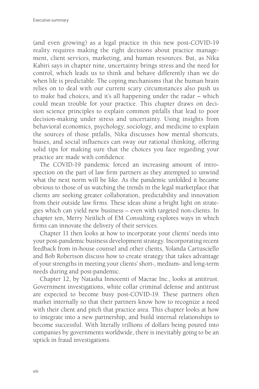(and even growing) as a legal practice in this new post-COVID-19 reality requires making the right decisions about practice management, client services, marketing, and human resources. But, as Nika Kabiri says in chapter nine, uncertainty brings stress and the need for control, which leads us to think and behave differently than we do when life is predictable. The coping mechanisms that the human brain relies on to deal with our current scary circumstances also push us to make bad choices, and it's all happening under the radar – which could mean trouble for your practice. This chapter draws on decision science principles to explain common pitfalls that lead to poor decision-making under stress and uncertainty. Using insights from behavioral economics, psychology, sociology, and medicine to explain the sources of those pitfalls, Nika discusses how mental shortcuts, biases, and social influences can sway our rational thinking, offering solid tips for making sure that the choices you face regarding your practice are made with confidence.

The COVID-19 pandemic forced an increasing amount of introspection on the part of law firm partners as they attempted to unwind what the next norm will be like. As the pandemic unfolded it became obvious to those of us watching the trends in the legal marketplace that clients are seeking greater collaboration, predictability and innovation from their outside law firms. These ideas shine a bright light on strategies which can yield new business – even with targeted non-clients. In chapter ten, Merry Neitlich of EM Consulting explores ways in which firms can innovate the delivery of their services.

Chapter 11 then looks at how to incorporate your clients' needs into your post-pandemic business development strategy. Incorporating recent feedback from in-house counsel and other clients, Yolanda Cartusciello and Bob Robertson discuss how to create strategy that takes advantage of your strengths in meeting your clients' short-, medium- and long-term needs during and post-pandemic.

Chapter 12, by Natasha Innocenti of Macrae Inc., looks at antitrust. Government investigations, white collar criminal defense and antitrust are expected to become busy post-COVID-19. These partners often market internally so that their partners know how to recognize a need with their client and pitch that practice area. This chapter looks at how to integrate into a new partnership, and build internal relationships to become successful. With literally trillions of dollars being poured into companies by governments worldwide, there is inevitably going to be an uptick in fraud investigations.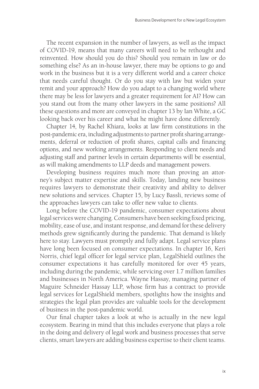The recent expansion in the number of lawyers, as well as the impact of COVID-19, means that many careers will need to be rethought and reinvented. How should you do this? Should you remain in law or do something else? As an in-house lawyer, there may be options to go and work in the business but it is a very different world and a career choice that needs careful thought. Or do you stay with law but widen your remit and your approach? How do you adapt to a changing world where there may be less for lawyers and a greater requirement for AI? How can you stand out from the many other lawyers in the same positions? All these questions and more are conveyed in chapter 13 by Ian White, a GC looking back over his career and what he might have done differently.

Chapter 14, by Rachel Khiara, looks at law firm constitutions in the post-pandemic era, including adjustments to partner profi t sharing arrangements, deferral or reduction of profit shares, capital calls and financing options, and new working arrangements. Responding to client needs and adjusting staff and partner levels in certain departments will be essential, as will making amendments to LLP deeds and management powers.

Developing business requires much more than proving an attorney's subject matter expertise and skills. Today, landing new business requires lawyers to demonstrate their creativity and ability to deliver new solutions and services. Chapter 15, by Lucy Bassli, reviews some of the approaches lawyers can take to offer new value to clients.

Long before the COVID-19 pandemic, consumer expectations about legal services were changing. Consumers have been seeking fixed pricing, mobility, ease of use, and instant response, and demand for these delivery methods grew significantly during the pandemic. That demand is likely here to stay. Lawyers must promptly and fully adapt. Legal service plans have long been focused on consumer expectations. In chapter 16, Keri Norris, chief legal officer for legal service plan, LegalShield outlines the consumer expectations it has carefully monitored for over 45 years, including during the pandemic, while servicing over 1.7 million families and businesses in North America. Wayne Hassay, managing partner of Maguire Schneider Hassay LLP, whose firm has a contract to provide legal services for LegalShield members, spotlights how the insights and strategies the legal plan provides are valuable tools for the development of business in the post-pandemic world.

Our final chapter takes a look at who is actually in the new legal ecosystem. Bearing in mind that this includes everyone that plays a role in the doing and delivery of legal work and business processes that serve clients, smart lawyers are adding business expertise to their client teams.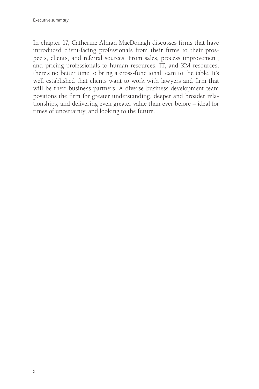In chapter 17, Catherine Alman MacDonagh discusses firms that have introduced client-facing professionals from their firms to their prospects, clients, and referral sources. From sales, process improvement, and pricing professionals to human resources, IT, and KM resources, there's no better time to bring a cross-functional team to the table. It's well established that clients want to work with lawyers and firm that will be their business partners. A diverse business development team positions the firm for greater understanding, deeper and broader relationships, and delivering even greater value than ever before – ideal for times of uncertainty, and looking to the future.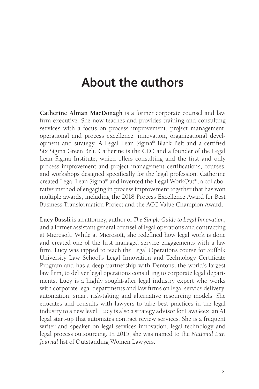## **About the authors**

**Catherine Alman MacDonagh** is a former corporate counsel and law firm executive. She now teaches and provides training and consulting services with a focus on process improvement, project management, operational and process excellence, innovation, organizational development and strategy. A Legal Lean Sigma® Black Belt and a certified Six Sigma Green Belt, Catherine is the CEO and a founder of the Legal Lean Sigma Institute, which offers consulting and the first and only process improvement and project management certifications, courses, and workshops designed specifically for the legal profession. Catherine created Legal Lean Sigma® and invented the Legal WorkOut®, a collaborative method of engaging in process improvement together that has won multiple awards, including the 2018 Process Excellence Award for Best Business Transformation Project and the ACC Value Champion Award.

**Lucy Bassli** is an attorney, author of *The Simple Guide to Legal Innovation*, and a former assistant general counsel of legal operations and contracting at Microsoft. While at Microsoft, she redefined how legal work is done and created one of the first managed service engagements with a law firm. Lucy was tapped to teach the Legal Operations course for Suffolk University Law School's Legal Innovation and Technology Certificate Program and has a deep partnership with Dentons, the world's largest law firm, to deliver legal operations consulting to corporate legal departments. Lucy is a highly sought-after legal industry expert who works with corporate legal departments and law firms on legal service delivery, automation, smart risk-taking and alternative resourcing models. She educates and consults with lawyers to take best practices in the legal industry to a new level. Lucy is also a strategy advisor for LawGeex, an AI legal start-up that automates contract review services. She is a frequent writer and speaker on legal services innovation, legal technology and legal process outsourcing. In 2015, she was named to the *National Law Journal* list of Outstanding Women Lawyers.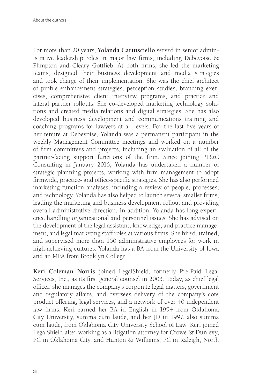For more than 20 years, **Yolanda Cartusciello** served in senior administrative leadership roles in major law firms, including Debevoise  $\&$ Plimpton and Cleary Gottlieb. At both firms, she led the marketing teams, designed their business development and media strategies and took charge of their implementation. She was the chief architect of profile enhancement strategies, perception studies, branding exercises, comprehensive client interview programs, and practice and lateral partner rollouts. She co-developed marketing technology solutions and created media relations and digital strategies. She has also developed business development and communications training and coaching programs for lawyers at all levels. For the last five years of her tenure at Debevoise, Yolanda was a permanent participant in the weekly Management Committee meetings and worked on a number of firm committees and projects, including an evaluation of all of the partner-facing support functions of the firm. Since joining PP&C Consulting in January 2016, Yolanda has undertaken a number of strategic planning projects, working with firm management to adopt firmwide, practice- and office-specific strategies. She has also performed marketing function analyses, including a review of people, processes, and technology. Yolanda has also helped to launch several smaller firms, leading the marketing and business development rollout and providing overall administrative direction. In addition, Yolanda has long experience handling organizational and personnel issues. She has advised on the development of the legal assistant, knowledge, and practice management, and legal marketing staff roles at various firms. She hired, trained, and supervised more than 150 administrative employees for work in high-achieving cultures. Yolanda has a BA from the University of Iowa and an MFA from Brooklyn College.

**Keri Coleman Norris** joined LegalShield, formerly Pre-Paid Legal Services, Inc., as its first general counsel in 2003. Today, as chief legal officer, she manages the company's corporate legal matters, government and regulatory affairs, and oversees delivery of the company's core product offering, legal services, and a network of over 40 independent law firms. Keri earned her BA in English in 1994 from Oklahoma City University, summa cum laude, and her JD in 1997, also summa cum laude, from Oklahoma City University School of Law. Keri joined LegalShield after working as a litigation attorney for Crowe & Dunlevy, PC in Oklahoma City, and Hunton & Williams, PC in Raleigh, North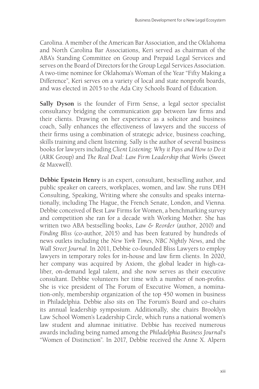Carolina. A member of the American Bar Association, and the Oklahoma and North Carolina Bar Associations, Keri served as chairman of the ABA's Standing Committee on Group and Prepaid Legal Services and serves on the Board of Directors for the Group Legal Services Association. A two-time nominee for Oklahoma's Woman of the Year "Fifty Making a Difference", Keri serves on a variety of local and state nonprofit boards, and was elected in 2015 to the Ada City Schools Board of Education.

**Sally Dyson** is the founder of Firm Sense, a legal sector specialist consultancy bridging the communication gap between law firms and their clients. Drawing on her experience as a solicitor and business coach, Sally enhances the effectiveness of lawyers and the success of their firms using a combination of strategic advice, business coaching, skills training and client listening. Sally is the author of several business books for lawyers including *Client Listening: Why it Pays and How to Do it* (ARK Group) and *The Real Deal: Law Firm Leadership that Works* (Sweet & Maxwell).

**Debbie Epstein Henry** is an expert, consultant, bestselling author, and public speaker on careers, workplaces, women, and law. She runs DEH Consulting, Speaking, Writing where she consults and speaks internationally, including The Hague, the French Senate, London, and Vienna. Debbie conceived of Best Law Firms for Women, a benchmarking survey and competition she ran for a decade with Working Mother. She has written two ABA bestselling books, *Law & Reorder* (author, 2010) and *Finding Bliss* (co-author, 2015) and has been featured by hundreds of news outlets including the *New York Times*, *NBC Nightly News*, and the *Wall Street Journal*. In 2011, Debbie co-founded Bliss Lawyers to employ lawyers in temporary roles for in-house and law firm clients. In 2020, her company was acquired by Axiom, the global leader in high-caliber, on-demand legal talent, and she now serves as their executive consultant. Debbie volunteers her time with a number of non-profits. She is vice president of The Forum of Executive Women, a nomination-only, membership organization of the top 450 women in business in Philadelphia. Debbie also sits on The Forum's Board and co-chairs its annual leadership symposium. Additionally, she chairs Brooklyn Law School Women's Leadership Circle, which runs a national women's law student and alumnae initiative. Debbie has received numerous awards including being named among the *Philadelphia Business Journal*'s "Women of Distinction". In 2017, Debbie received the Anne X. Alpern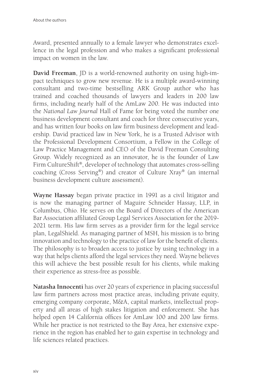Award, presented annually to a female lawyer who demonstrates excellence in the legal profession and who makes a significant professional impact on women in the law.

**David Freeman**, JD is a world-renowned authority on using high-impact techniques to grow new revenue. He is a multiple award-winning consultant and two-time bestselling ARK Group author who has trained and coached thousands of lawyers and leaders in 200 law firms, including nearly half of the AmLaw 200. He was inducted into the *National Law Journal* Hall of Fame for being voted the number one business development consultant and coach for three consecutive years, and has written four books on law firm business development and leadership. David practiced law in New York, he is a Trusted Advisor with the Professional Development Consortium, a Fellow in the College of Law Practice Management and CEO of the David Freeman Consulting Group. Widely recognized as an innovator, he is the founder of Law Firm CultureShift®, developer of technology that automates cross-selling coaching (Cross Serving®) and creator of Culture Xray® (an internal business development culture assessment).

**Wayne Hassay** began private practice in 1991 as a civil litigator and is now the managing partner of Maguire Schneider Hassay, LLP, in Columbus, Ohio. He serves on the Board of Directors of the American Bar Association affiliated Group Legal Services Association for the 2019-2021 term. His law firm serves as a provider firm for the legal service plan, LegalShield. As managing partner of MSH, his mission is to bring innovation and technology to the practice of law for the benefit of clients. The philosophy is to broaden access to justice by using technology in a way that helps clients afford the legal services they need. Wayne believes this will achieve the best possible result for his clients, while making their experience as stress-free as possible.

**Natasha Innocenti** has over 20 years of experience in placing successful law firm partners across most practice areas, including private equity, emerging company corporate, M&A, capital markets, intellectual property and all areas of high stakes litigation and enforcement. She has helped open 14 California offices for AmLaw 100 and 200 law firms. While her practice is not restricted to the Bay Area, her extensive experience in the region has enabled her to gain expertise in technology and life sciences related practices.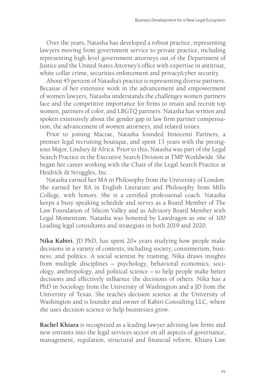Over the years, Natasha has developed a robust practice, representing lawyers moving from government service to private practice, including representing high level government attorneys out of the Department of Justice and the United States Attorney's office with expertise in antitrust, white collar crime, securities enforcement and privacy/cyber security.

About 45 percent of Natasha's practice is representing diverse partners. Because of her extensive work in the advancement and empowerment of women lawyers, Natasha understands the challenges women partners face and the competitive importance for firms to retain and recruit top women, partners of color, and LBGTQ partners. Natasha has written and spoken extensively about the gender gap in law firm partner compensation, the advancement of women attorneys, and related issues.

Prior to joining Macrae, Natasha founded Innocenti Partners, a premier legal recruiting boutique, and spent 13 years with the prestigious Major, Lindsey & Africa. Prior to this, Natasha was part of the Legal Search Practice in the Executive Search Division at TMP Worldwide. She began her career working with the Chair of the Legal Search Practice at Heidrick & Struggles, Inc.

Natasha earned her MA in Philosophy from the University of London. She earned her BA in English Literature and Philosophy from Mills College, with honors. She is a certified professional coach. Natasha keeps a busy speaking schedule and serves as a Board Member of The Law Foundation of Silicon Valley and as Advisory Board Member with Legal Momentum. Natasha was honored by Lawdragon as one of 100 Leading legal consultants and strategists in both 2019 and 2020.

**Nika Kabiri**, JD PhD, has spent 20+ years studying how people make decisions in a variety of contexts, including society, consumerism, business, and politics. A social scientist by training, Nika draws insights from multiple disciplines – psychology, behavioral economics, sociology, anthropology, and political science – to help people make better decisions and effectively influence the decisions of others. Nika has a PhD in Sociology from the University of Washington and a JD from the University of Texas. She teaches decision science at the University of Washington and is founder and owner of Kabiri Consulting LLC, where she uses decision science to help businesses grow.

**Rachel Khiara** is recognized as a leading lawyer advising law firms and new entrants into the legal services sector on all aspects of governance, management, regulation, structural and financial reform. Khiara Law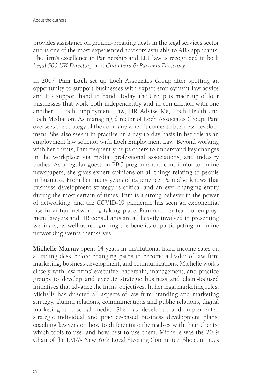provides assistance on ground-breaking deals in the legal services sector and is one of the most experienced advisors available to ABS applicants. The firm's excellence in Partnership and LLP law is recognized in both *Legal 500 UK Directory* and *Chambers & Partners Directory*.

In 2007, **Pam Loch** set up Loch Associates Group after spotting an opportunity to support businesses with expert employment law advice and HR support hand in hand. Today, the Group is made up of four businesses that work both independently and in conjunction with one another – Loch Employment Law, HR Advise Me, Loch Health and Loch Mediation. As managing director of Loch Associates Group, Pam oversees the strategy of the company when it comes to business development. She also sees it in practice on a day-to-day basis in her role as an employment law solicitor with Loch Employment Law. Beyond working with her clients, Pam frequently helps others to understand key changes in the workplace via media, professional associations, and industry bodies. As a regular guest on BBC programs and contributor to online newspapers, she gives expert opinions on all things relating to people in business. From her many years of experience, Pam also knows that business development strategy is critical and an ever-changing entity during the most certain of times. Pam is a strong believer in the power of networking, and the COVID-19 pandemic has seen an exponential rise in virtual networking taking place. Pam and her team of employment lawyers and HR consultants are all heavily involved in presenting webinars, as well as recognizing the benefits of participating in online networking events themselves.

**Michelle Murray** spent 14 years in institutional fixed income sales on a trading desk before changing paths to become a leader of law firm marketing, business development, and communications. Michelle works closely with law firms' executive leadership, management, and practice groups to develop and execute strategic business and client-focused initiatives that advance the firms' objectives. In her legal marketing roles, Michelle has directed all aspects of law firm branding and marketing strategy, alumni relations, communications and public relations, digital marketing and social media. She has developed and implemented strategic individual and practice-based business development plans, coaching lawyers on how to differentiate themselves with their clients, which tools to use, and how best to use them. Michelle was the 2019 Chair of the LMA's New York Local Steering Committee. She continues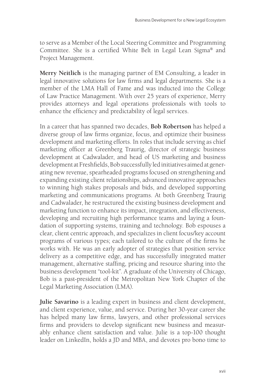to serve as a Member of the Local Steering Committee and Programming Committee. She is a certified White Belt in Legal Lean Sigma® and Project Management.

**Merry Neitlich** is the managing partner of EM Consulting, a leader in legal innovative solutions for law firms and legal departments. She is a member of the LMA Hall of Fame and was inducted into the College of Law Practice Management. With over 25 years of experience, Merry provides attorneys and legal operations professionals with tools to enhance the efficiency and predictability of legal services.

In a career that has spanned two decades, **Bob Robertson** has helped a diverse group of law firms organize, focus, and optimize their business development and marketing efforts. In roles that include serving as chief marketing officer at Greenberg Traurig, director of strategic business development at Cadwalader, and head of US marketing and business development at Freshfields, Bob successfully led initiatives aimed at generating new revenue, spearheaded programs focused on strengthening and expanding existing client relationships, advanced innovative approaches to winning high stakes proposals and bids, and developed supporting marketing and communications programs. At both Greenberg Traurig and Cadwalader, he restructured the existing business development and marketing function to enhance its impact, integration, and effectiveness, developing and recruiting high performance teams and laying a foundation of supporting systems, training and technology. Bob espouses a clear, client centric approach, and specializes in client focus/key account programs of various types; each tailored to the culture of the firms he works with. He was an early adopter of strategies that position service delivery as a competitive edge, and has successfully integrated matter management, alternative staffing, pricing and resource sharing into the business development "tool-kit". A graduate of the University of Chicago, Bob is a past-president of the Metropolitan New York Chapter of the Legal Marketing Association (LMA).

**Julie Savarino** is a leading expert in business and client development, and client experience, value, and service. During her 30-year career she has helped many law firms, lawyers, and other professional services firms and providers to develop significant new business and measurably enhance client satisfaction and value. Julie is a top-100 thought leader on LinkedIn, holds a JD and MBA, and devotes pro bono time to